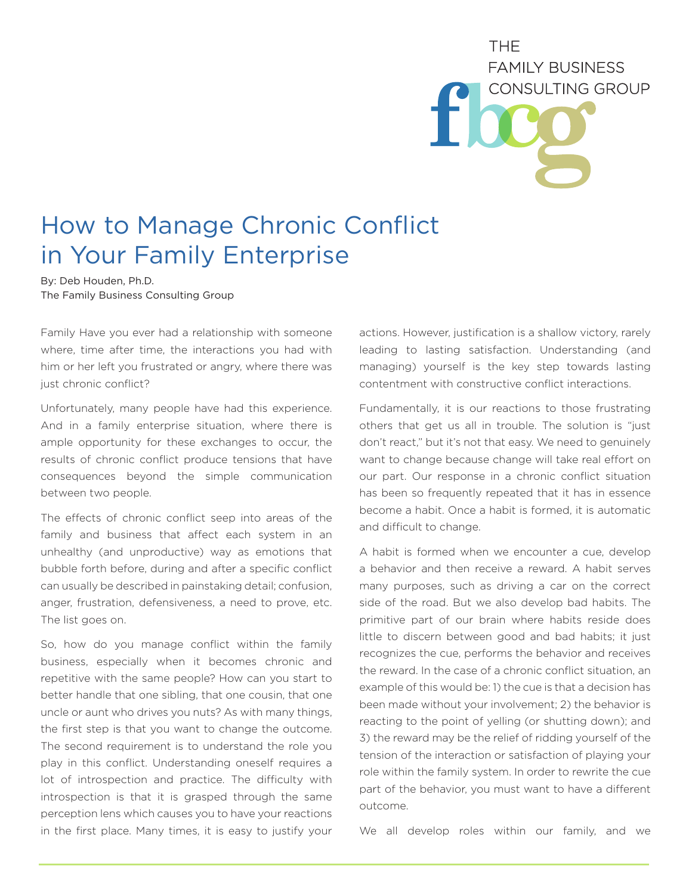**THF FAMILY BUSINESS** CONSULTING GROUP

## How to Manage Chronic Conflict in Your Family Enterprise

By: Deb Houden, Ph.D. The Family Business Consulting Group

Family Have you ever had a relationship with someone where, time after time, the interactions you had with him or her left you frustrated or angry, where there was just chronic conflict?

Unfortunately, many people have had this experience. And in a family enterprise situation, where there is ample opportunity for these exchanges to occur, the results of chronic conflict produce tensions that have consequences beyond the simple communication between two people.

The effects of chronic conflict seep into areas of the family and business that affect each system in an unhealthy (and unproductive) way as emotions that bubble forth before, during and after a specific conflict can usually be described in painstaking detail; confusion, anger, frustration, defensiveness, a need to prove, etc. The list goes on.

So, how do you manage conflict within the family business, especially when it becomes chronic and repetitive with the same people? How can you start to better handle that one sibling, that one cousin, that one uncle or aunt who drives you nuts? As with many things, the first step is that you want to change the outcome. The second requirement is to understand the role you play in this conflict. Understanding oneself requires a lot of introspection and practice. The difficulty with introspection is that it is grasped through the same perception lens which causes you to have your reactions in the first place. Many times, it is easy to justify your

actions. However, justification is a shallow victory, rarely leading to lasting satisfaction. Understanding (and managing) yourself is the key step towards lasting contentment with constructive conflict interactions.

Fundamentally, it is our reactions to those frustrating others that get us all in trouble. The solution is "just don't react," but it's not that easy. We need to genuinely want to change because change will take real effort on our part. Our response in a chronic conflict situation has been so frequently repeated that it has in essence become a habit. Once a habit is formed, it is automatic and difficult to change.

A habit is formed when we encounter a cue, develop a behavior and then receive a reward. A habit serves many purposes, such as driving a car on the correct side of the road. But we also develop bad habits. The primitive part of our brain where habits reside does little to discern between good and bad habits; it just recognizes the cue, performs the behavior and receives the reward. In the case of a chronic conflict situation, an example of this would be: 1) the cue is that a decision has been made without your involvement; 2) the behavior is reacting to the point of yelling (or shutting down); and 3) the reward may be the relief of ridding yourself of the tension of the interaction or satisfaction of playing your role within the family system. In order to rewrite the cue part of the behavior, you must want to have a different outcome.

We all develop roles within our family, and we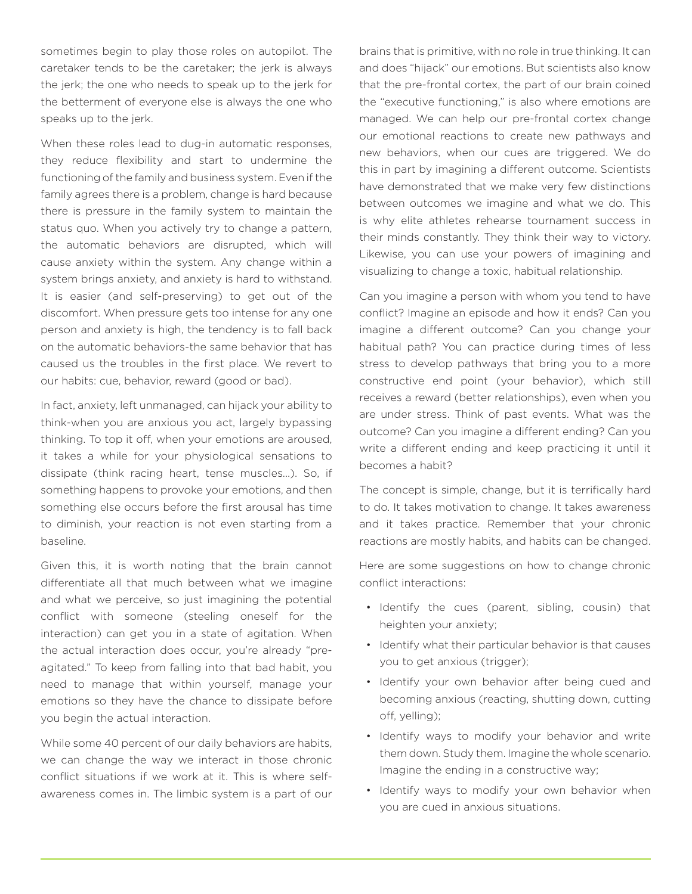sometimes begin to play those roles on autopilot. The caretaker tends to be the caretaker; the jerk is always the jerk; the one who needs to speak up to the jerk for the betterment of everyone else is always the one who speaks up to the jerk.

When these roles lead to dug-in automatic responses, they reduce flexibility and start to undermine the functioning of the family and business system. Even if the family agrees there is a problem, change is hard because there is pressure in the family system to maintain the status quo. When you actively try to change a pattern, the automatic behaviors are disrupted, which will cause anxiety within the system. Any change within a system brings anxiety, and anxiety is hard to withstand. It is easier (and self-preserving) to get out of the discomfort. When pressure gets too intense for any one person and anxiety is high, the tendency is to fall back on the automatic behaviors-the same behavior that has caused us the troubles in the first place. We revert to our habits: cue, behavior, reward (good or bad).

In fact, anxiety, left unmanaged, can hijack your ability to think-when you are anxious you act, largely bypassing thinking. To top it off, when your emotions are aroused, it takes a while for your physiological sensations to dissipate (think racing heart, tense muscles...). So, if something happens to provoke your emotions, and then something else occurs before the first arousal has time to diminish, your reaction is not even starting from a baseline.

Given this, it is worth noting that the brain cannot differentiate all that much between what we imagine and what we perceive, so just imagining the potential conflict with someone (steeling oneself for the interaction) can get you in a state of agitation. When the actual interaction does occur, you're already "preagitated." To keep from falling into that bad habit, you need to manage that within yourself, manage your emotions so they have the chance to dissipate before you begin the actual interaction.

While some 40 percent of our daily behaviors are habits, we can change the way we interact in those chronic conflict situations if we work at it. This is where selfawareness comes in. The limbic system is a part of our

brains that is primitive, with no role in true thinking. It can and does "hijack" our emotions. But scientists also know that the pre-frontal cortex, the part of our brain coined the "executive functioning," is also where emotions are managed. We can help our pre-frontal cortex change our emotional reactions to create new pathways and new behaviors, when our cues are triggered. We do this in part by imagining a different outcome. Scientists have demonstrated that we make very few distinctions between outcomes we imagine and what we do. This is why elite athletes rehearse tournament success in their minds constantly. They think their way to victory. Likewise, you can use your powers of imagining and visualizing to change a toxic, habitual relationship.

Can you imagine a person with whom you tend to have conflict? Imagine an episode and how it ends? Can you imagine a different outcome? Can you change your habitual path? You can practice during times of less stress to develop pathways that bring you to a more constructive end point (your behavior), which still receives a reward (better relationships), even when you are under stress. Think of past events. What was the outcome? Can you imagine a different ending? Can you write a different ending and keep practicing it until it becomes a habit?

The concept is simple, change, but it is terrifically hard to do. It takes motivation to change. It takes awareness and it takes practice. Remember that your chronic reactions are mostly habits, and habits can be changed.

Here are some suggestions on how to change chronic conflict interactions:

- Identify the cues (parent, sibling, cousin) that heighten your anxiety;
- Identify what their particular behavior is that causes you to get anxious (trigger);
- Identify your own behavior after being cued and becoming anxious (reacting, shutting down, cutting off, yelling);
- Identify ways to modify your behavior and write them down. Study them. Imagine the whole scenario. Imagine the ending in a constructive way;
- Identify ways to modify your own behavior when you are cued in anxious situations.